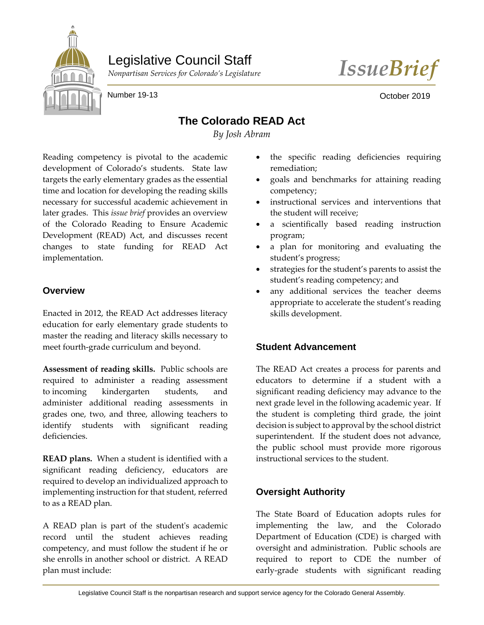# Legislative Council Staff





Number 19-13 **October 2019** 

## **The Colorado READ Act**

*By Josh Abram*

Reading competency is pivotal to the academic development of Colorado's students. State law targets the early elementary grades as the essential time and location for developing the reading skills necessary for successful academic achievement in later grades. This *issue brief* provides an overview of the Colorado Reading to Ensure Academic Development (READ) Act, and discusses recent changes to state funding for READ Act implementation.

#### **Overview**

Enacted in 2012, the READ Act addresses literacy education for early elementary grade students to master the reading and literacy skills necessary to meet fourth-grade curriculum and beyond.

**Assessment of reading skills.** Public schools are required to administer a reading assessment to incoming kindergarten students, and administer additional reading assessments in grades one, two, and three, allowing teachers to identify students with significant reading deficiencies.

**READ plans.** When a student is identified with a significant reading deficiency, educators are required to develop an individualized approach to implementing instruction for that student, referred to as a READ plan.

A READ plan is part of the student's academic record until the student achieves reading competency, and must follow the student if he or she enrolls in another school or district. A READ plan must include:

- the specific reading deficiencies requiring remediation;
- goals and benchmarks for attaining reading competency;
- instructional services and interventions that the student will receive;
- a scientifically based reading instruction program;
- a plan for monitoring and evaluating the student's progress;
- strategies for the student's parents to assist the student's reading competency; and
- any additional services the teacher deems appropriate to accelerate the student's reading skills development.

#### **Student Advancement**

The READ Act creates a process for parents and educators to determine if a student with a significant reading deficiency may advance to the next grade level in the following academic year. If the student is completing third grade, the joint decision is subject to approval by the school district superintendent. If the student does not advance, the public school must provide more rigorous instructional services to the student.

#### **Oversight Authority**

The State Board of Education adopts rules for implementing the law, and the Colorado Department of Education (CDE) is charged with oversight and administration. Public schools are required to report to CDE the number of early-grade students with significant reading